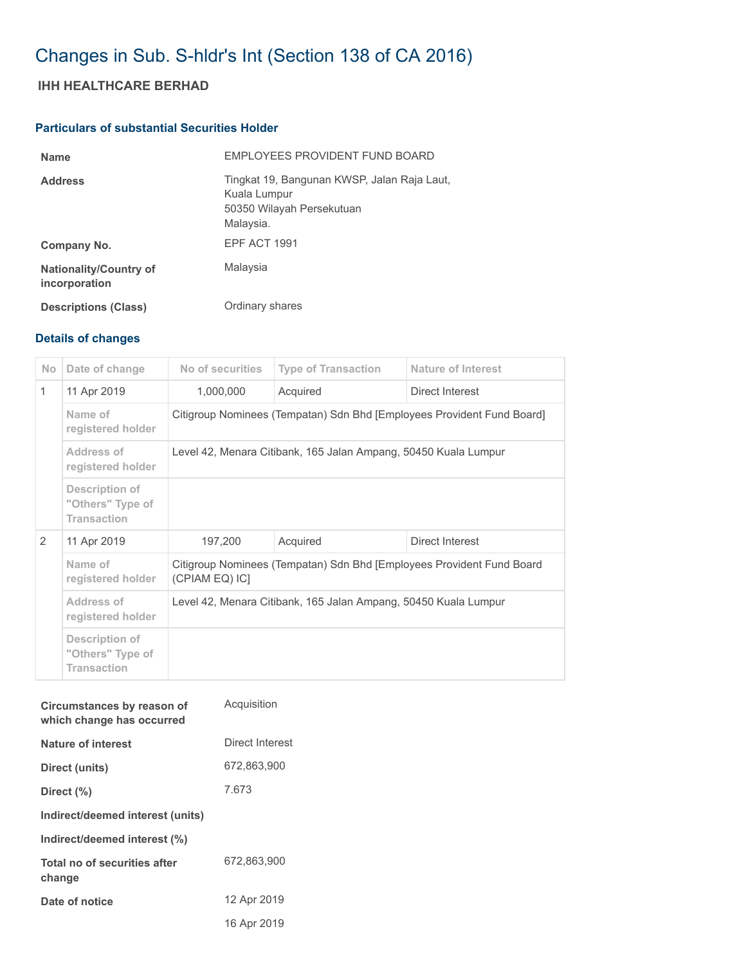# Changes in Sub. S-hldr's Int (Section 138 of CA 2016)

## **IHH HEALTHCARE BERHAD**

### **Particulars of substantial Securities Holder**

| <b>Name</b>                                    | <b>FMPLOYEES PROVIDENT FUND BOARD</b>                                                                 |
|------------------------------------------------|-------------------------------------------------------------------------------------------------------|
| <b>Address</b>                                 | Tingkat 19, Bangunan KWSP, Jalan Raja Laut,<br>Kuala Lumpur<br>50350 Wilayah Persekutuan<br>Malaysia. |
| Company No.                                    | EPF ACT 1991                                                                                          |
| <b>Nationality/Country of</b><br>incorporation | Malaysia                                                                                              |
| <b>Descriptions (Class)</b>                    | Ordinary shares                                                                                       |

#### **Details of changes**

| <b>No</b>    | Date of change                                           | No of securities                                                                        | <b>Type of Transaction</b> | <b>Nature of Interest</b> |  |
|--------------|----------------------------------------------------------|-----------------------------------------------------------------------------------------|----------------------------|---------------------------|--|
| $\mathbf{1}$ | 11 Apr 2019                                              | 1,000,000                                                                               | Acquired                   | Direct Interest           |  |
|              | Name of<br>registered holder                             | Citigroup Nominees (Tempatan) Sdn Bhd [Employees Provident Fund Board]                  |                            |                           |  |
|              | Address of<br>registered holder                          | Level 42, Menara Citibank, 165 Jalan Ampang, 50450 Kuala Lumpur                         |                            |                           |  |
|              | Description of<br>"Others" Type of<br><b>Transaction</b> |                                                                                         |                            |                           |  |
| 2            | 11 Apr 2019                                              | 197,200                                                                                 | Acquired                   | Direct Interest           |  |
|              | Name of<br>registered holder                             | Citigroup Nominees (Tempatan) Sdn Bhd [Employees Provident Fund Board<br>(CPIAM EQ) ICI |                            |                           |  |
|              | Address of<br>registered holder                          | Level 42, Menara Citibank, 165 Jalan Ampang, 50450 Kuala Lumpur                         |                            |                           |  |
|              | Description of<br>"Others" Type of<br><b>Transaction</b> |                                                                                         |                            |                           |  |

| Circumstances by reason of<br>which change has occurred | Acquisition     |
|---------------------------------------------------------|-----------------|
| Nature of interest                                      | Direct Interest |
| Direct (units)                                          | 672,863,900     |
| Direct (%)                                              | 7.673           |
| Indirect/deemed interest (units)                        |                 |
| Indirect/deemed interest (%)                            |                 |
| Total no of securities after<br>change                  | 672.863.900     |
| Date of notice                                          | 12 Apr 2019     |
|                                                         | 16 Apr 2019     |